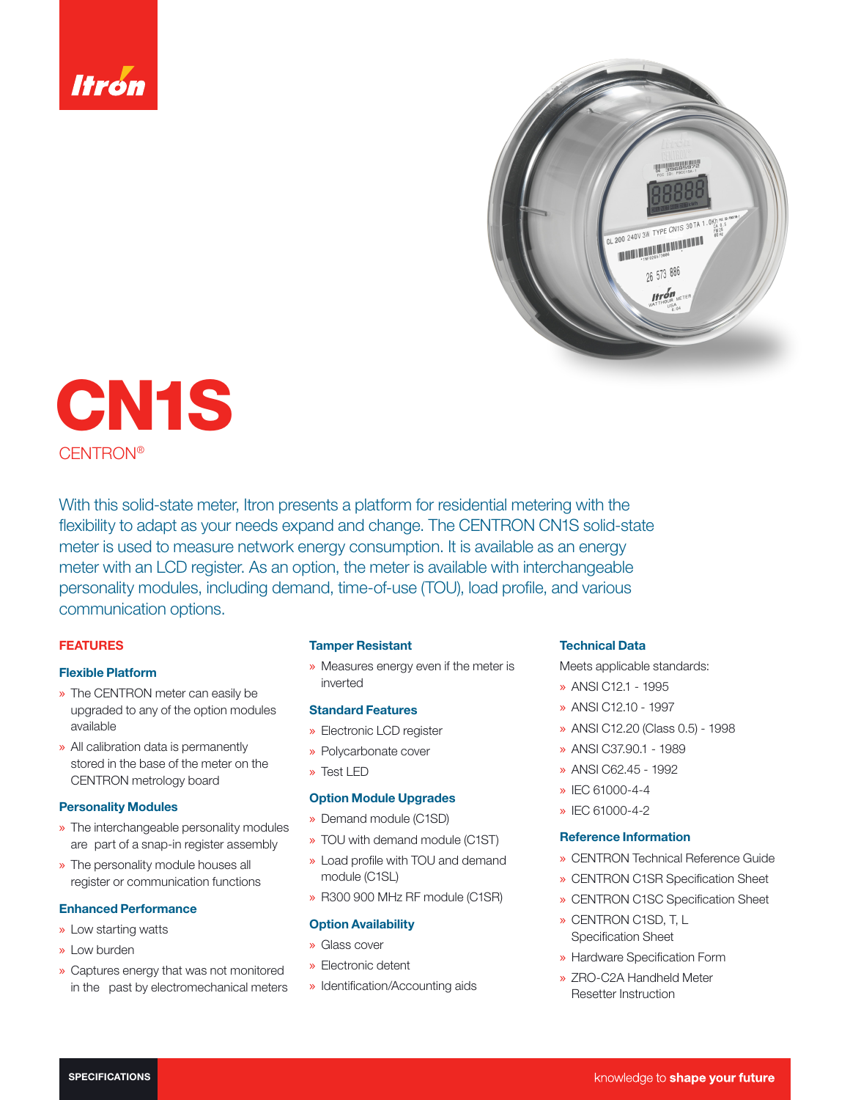



CN1S CENTRON®

With this solid-state meter, Itron presents a platform for residential metering with the flexibility to adapt as your needs expand and change. The CENTRON CN1S solid-state meter is used to measure network energy consumption. It is available as an energy meter with an LCD register. As an option, the meter is available with interchangeable personality modules, including demand, time-of-use (TOU), load profile, and various communication options.

### FEATURES

## Flexible Platform

- » The CENTRON meter can easily be upgraded to any of the option modules available
- » All calibration data is permanently stored in the base of the meter on the CENTRON metrology board

#### Personality Modules

- » The interchangeable personality modules are part of a snap-in register assembly
- » The personality module houses all register or communication functions

## Enhanced Performance

- » Low starting watts
- » Low burden
- » Captures energy that was not monitored in the past by electromechanical meters

#### Tamper Resistant

» Measures energy even if the meter is inverted

# Standard Features

- » Electronic LCD register
- » Polycarbonate cover
- » Test LED

#### Option Module Upgrades

- » Demand module (C1SD)
- » TOU with demand module (C1ST)
- » Load profile with TOU and demand module (C1SL)
- » R300 900 MHz RF module (C1SR)

## **Option Availability**

- » Glass cover
- » Electronic detent
- » Identification/Accounting aids

#### Technical Data

Meets applicable standards:

- » ANSI C12.1 1995
- » ANSI C12.10 1997
- » ANSI C12.20 (Class 0.5) 1998
- » ANSI C37.90.1 1989
- » ANSI C62.45 1992
- » IEC 61000-4-4
- » IEC 61000-4-2

### Reference Information

- » CENTRON Technical Reference Guide
- » CENTRON C1SR Specification Sheet
- » CENTRON C1SC Specification Sheet
- » CENTRON C1SD, T, L Specification Sheet
- » Hardware Specification Form
- » ZRO-C2A Handheld Meter Resetter Instruction